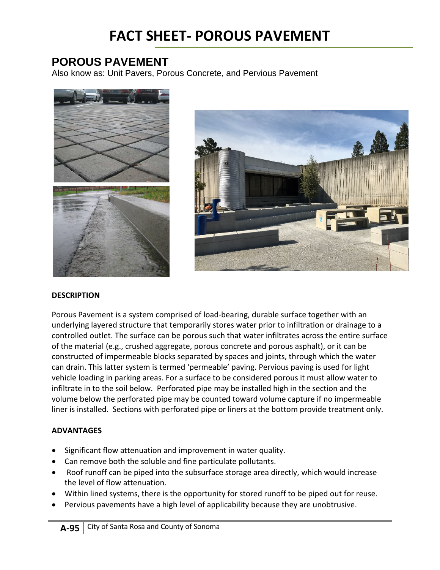## **FACT SHEET- POROUS PAVEMENT**

### **POROUS PAVEMENT**

Also know as: Unit Pavers, Porous Concrete, and Pervious Pavement





#### **DESCRIPTION**

Porous Pavement is a system comprised of load-bearing, durable surface together with an underlying layered structure that temporarily stores water prior to infiltration or drainage to a controlled outlet. The surface can be porous such that water infiltrates across the entire surface of the material (e.g., crushed aggregate, porous concrete and porous asphalt), or it can be constructed of impermeable blocks separated by spaces and joints, through which the water can drain. This latter system is termed 'permeable' paving. Pervious paving is used for light vehicle loading in parking areas. For a surface to be considered porous it must allow water to infiltrate in to the soil below. Perforated pipe may be installed high in the section and the volume below the perforated pipe may be counted toward volume capture if no impermeable liner is installed. Sections with perforated pipe or liners at the bottom provide treatment only.

#### **ADVANTAGES**

- Significant flow attenuation and improvement in water quality.
- Can remove both the soluble and fine particulate pollutants.
- Roof runoff can be piped into the subsurface storage area directly, which would increase the level of flow attenuation.
- Within lined systems, there is the opportunity for stored runoff to be piped out for reuse.
- Pervious pavements have a high level of applicability because they are unobtrusive.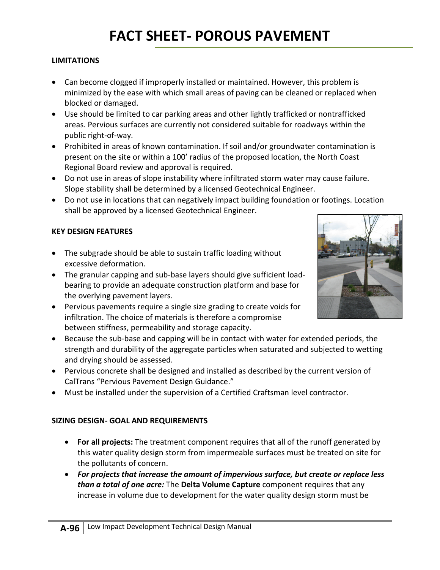#### **LIMITATIONS**

- Can become clogged if improperly installed or maintained. However, this problem is minimized by the ease with which small areas of paving can be cleaned or replaced when blocked or damaged.
- Use should be limited to car parking areas and other lightly trafficked or nontrafficked areas. Pervious surfaces are currently not considered suitable for roadways within the public right-of-way.
- Prohibited in areas of known contamination. If soil and/or groundwater contamination is present on the site or within a 100' radius of the proposed location, the North Coast Regional Board review and approval is required.
- Do not use in areas of slope instability where infiltrated storm water may cause failure. Slope stability shall be determined by a licensed Geotechnical Engineer.
- Do not use in locations that can negatively impact building foundation or footings. Location shall be approved by a licensed Geotechnical Engineer.

#### **KEY DESIGN FEATURES**

- The subgrade should be able to sustain traffic loading without excessive deformation.
- The granular capping and sub-base layers should give sufficient loadbearing to provide an adequate construction platform and base for the overlying pavement layers.
- Pervious pavements require a single size grading to create voids for infiltration. The choice of materials is therefore a compromise between stiffness, permeability and storage capacity.
- Because the sub-base and capping will be in contact with water for extended periods, the strength and durability of the aggregate particles when saturated and subjected to wetting and drying should be assessed.
- Pervious concrete shall be designed and installed as described by the current version of CalTrans "Pervious Pavement Design Guidance."
- Must be installed under the supervision of a Certified Craftsman level contractor.

#### **SIZING DESIGN- GOAL AND REQUIREMENTS**

- **For all projects:** The treatment component requires that all of the runoff generated by this water quality design storm from impermeable surfaces must be treated on site for the pollutants of concern.
- *For projects that increase the amount of impervious surface, but create or replace less than a total of one acre:* The **Delta Volume Capture** component requires that any increase in volume due to development for the water quality design storm must be